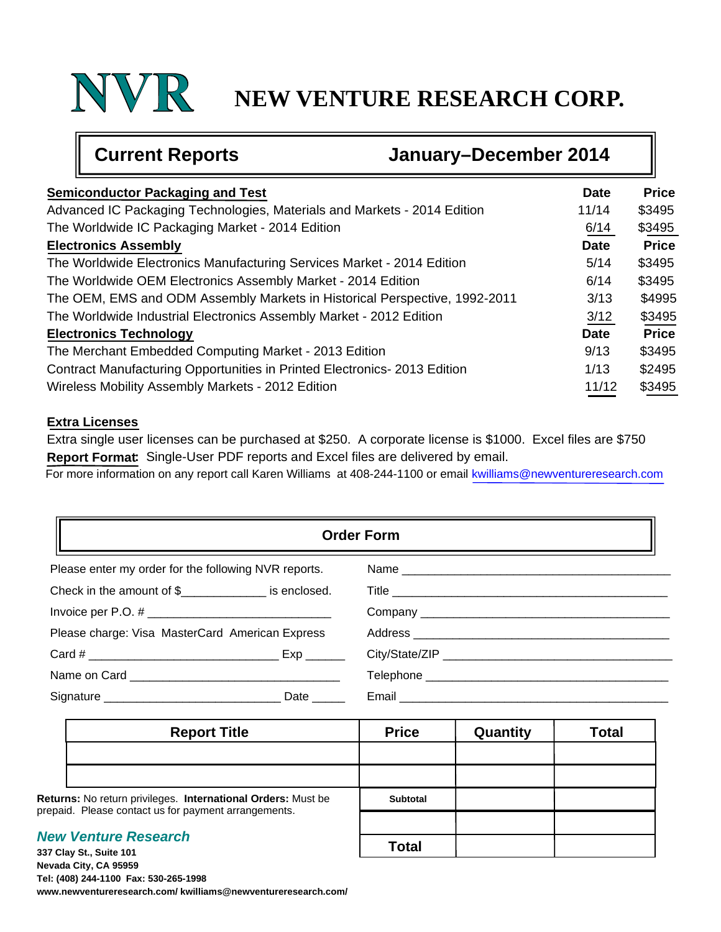## **NEW VENTURE RESEARCH CORP.**

╗

| <b>Current Reports</b>                                                     | January-December 2014 |             |              |
|----------------------------------------------------------------------------|-----------------------|-------------|--------------|
| <b>Semiconductor Packaging and Test</b>                                    |                       | <b>Date</b> | <b>Price</b> |
| Advanced IC Packaging Technologies, Materials and Markets - 2014 Edition   |                       | 11/14       | \$3495       |
| The Worldwide IC Packaging Market - 2014 Edition                           |                       | 6/14        | \$3495       |
| <b>Electronics Assembly</b>                                                |                       | <b>Date</b> | <b>Price</b> |
| The Worldwide Electronics Manufacturing Services Market - 2014 Edition     |                       | 5/14        | \$3495       |
| The Worldwide OEM Electronics Assembly Market - 2014 Edition               |                       | 6/14        | \$3495       |
| The OEM, EMS and ODM Assembly Markets in Historical Perspective, 1992-2011 |                       | 3/13        | \$4995       |
| The Worldwide Industrial Electronics Assembly Market - 2012 Edition        |                       | 3/12        | \$3495       |
| <b>Electronics Technology</b>                                              |                       | <b>Date</b> | <b>Price</b> |
| The Merchant Embedded Computing Market - 2013 Edition                      |                       | 9/13        | \$3495       |
| Contract Manufacturing Opportunities in Printed Electronics-2013 Edition   |                       | 1/13        | \$2495       |
| Wireless Mobility Assembly Markets - 2012 Edition                          |                       | 11/12       | \$3495       |

#### **Extra Licenses**

Œ

Extra single user licenses can be purchased at \$250. A corporate license is \$1000. Excel files are \$750 **Report Format:** Single-User PDF reports and Excel files are delivered by email.

For more information on any report call Karen Williams at 408-244-1100 or email kwilliams@newventureresearch.com

| <b>Order Form</b>                                                   |  |  |  |  |
|---------------------------------------------------------------------|--|--|--|--|
| Please enter my order for the following NVR reports.                |  |  |  |  |
| Check in the amount of $\frac{1}{2}$ [Separation 2015] is enclosed. |  |  |  |  |
| Invoice per P.O. # $\_$                                             |  |  |  |  |
| Please charge: Visa MasterCard American Express                     |  |  |  |  |
|                                                                     |  |  |  |  |
|                                                                     |  |  |  |  |
| Date $\_\_$                                                         |  |  |  |  |

|                                                                                                                      | <b>Report Title</b> | <b>Price</b>    | Quantity | <b>Total</b> |
|----------------------------------------------------------------------------------------------------------------------|---------------------|-----------------|----------|--------------|
|                                                                                                                      |                     |                 |          |              |
|                                                                                                                      |                     |                 |          |              |
| Returns: No return privileges. International Orders: Must be<br>prepaid. Please contact us for payment arrangements. |                     | <b>Subtotal</b> |          |              |
|                                                                                                                      |                     |                 |          |              |
| <b>New Venture Research</b><br>337 Clay St., Suite 101                                                               |                     | Total           |          |              |

**337 Clay St., Suite 101 Nevada City, CA 95959 Tel: (408) 244-1100 Fax: 530-265-1998 www.newventureresearch.com/ kwilliams@newventureresearch.com/**